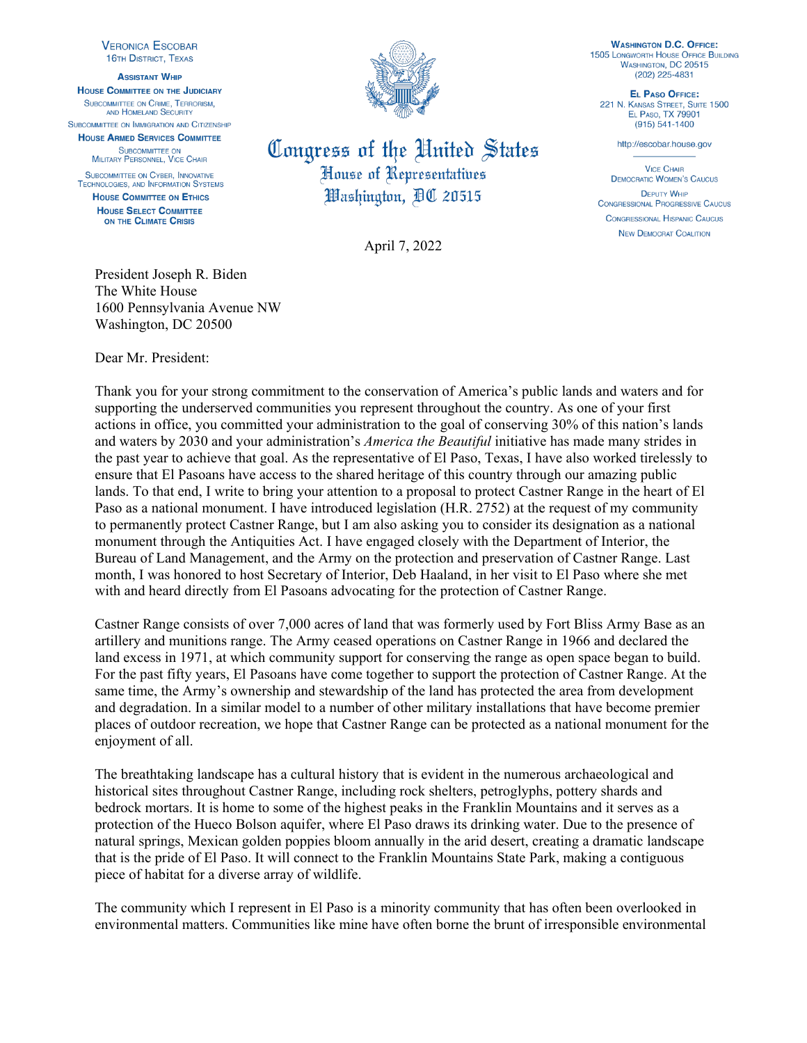**VERONICA ESCOBAR 16TH DISTRICT, TEXAS** 

**ASSISTANT WHIP HOUSE COMMITTEE ON THE JUDICIARY** SUBCOMMITTEE ON CRIME, TERRORISM. AND HOMELAND SECURITY

SUBCOMMITTEE ON IMMIGRATION AND CITIZENSHIP **HOUSE ARMED SERVICES COMMITTEE** SUBCOMMITTEE ON

MILITARY PERSONNEL, VICE CHAIR SUBCOMMITTEE ON CYBER, INNOVATIVE **TECHNOLOGIES, AND INFORMATION SYSTEMS HOUSE COMMITTEE ON ETHICS** 

**HOUSE SELECT COMMITTEE** ON THE CLIMATE CRISIS



## Congress of the United States House of Representatives Washington, AC 20515

April 7, 2022

**WASHINGTON D.C. OFFICE: 1505 LONGWORTH HOUSE OFFICE BUILDING** WASHINGTON, DC 20515  $(202)$  225-4831

EL PASO OFFICE: 221 N. KANSAS STREET, SUITE 1500 EL PASO, TX 79901 (915) 541-1400

http://escobar.house.gov

**VICE CHAIR DEMOCBATIC WOMEN'S CAUCUS DEPUTY WHIP CONGRESSIONAL PROGRESSIVE CAUCUS CONGRESSIONAL HISPANIC CAUCUS NEW DEMOCRAT COALITION** 

President Joseph R. Biden The White House 1600 Pennsylvania Avenue NW Washington, DC 20500

Dear Mr. President:

Thank you for your strong commitment to the conservation of America's public lands and waters and for supporting the underserved communities you represent throughout the country. As one of your first actions in office, you committed your administration to the goal of conserving 30% of this nation's lands and waters by 2030 and your administration's *America the Beautiful* initiative has made many strides in the past year to achieve that goal. As the representative of El Paso, Texas, I have also worked tirelessly to ensure that El Pasoans have access to the shared heritage of this country through our amazing public lands. To that end, I write to bring your attention to a proposal to protect Castner Range in the heart of El Paso as a national monument. I have introduced legislation (H.R. 2752) at the request of my community to permanently protect Castner Range, but I am also asking you to consider its designation as a national monument through the Antiquities Act. I have engaged closely with the Department of Interior, the Bureau of Land Management, and the Army on the protection and preservation of Castner Range. Last month, I was honored to host Secretary of Interior, Deb Haaland, in her visit to El Paso where she met with and heard directly from El Pasoans advocating for the protection of Castner Range.

Castner Range consists of over 7,000 acres of land that was formerly used by Fort Bliss Army Base as an artillery and munitions range. The Army ceased operations on Castner Range in 1966 and declared the land excess in 1971, at which community support for conserving the range as open space began to build. For the past fifty years, El Pasoans have come together to support the protection of Castner Range. At the same time, the Army's ownership and stewardship of the land has protected the area from development and degradation. In a similar model to a number of other military installations that have become premier places of outdoor recreation, we hope that Castner Range can be protected as a national monument for the enjoyment of all.

The breathtaking landscape has a cultural history that is evident in the numerous archaeological and historical sites throughout Castner Range, including rock shelters, petroglyphs, pottery shards and bedrock mortars. It is home to some of the highest peaks in the Franklin Mountains and it serves as a protection of the Hueco Bolson aquifer, where El Paso draws its drinking water. Due to the presence of natural springs, Mexican golden poppies bloom annually in the arid desert, creating a dramatic landscape that is the pride of El Paso. It will connect to the Franklin Mountains State Park, making a contiguous piece of habitat for a diverse array of wildlife.

The community which I represent in El Paso is a minority community that has often been overlooked in environmental matters. Communities like mine have often borne the brunt of irresponsible environmental